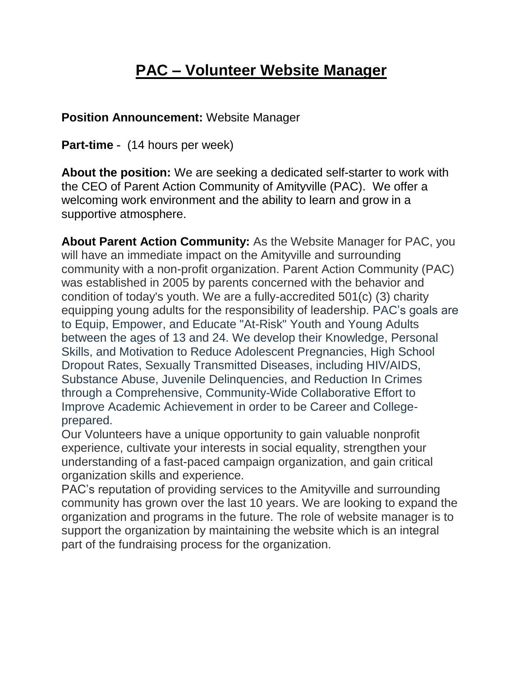## **PAC – Volunteer Website Manager**

## **Position Announcement:** Website Manager

**Part-time** - (14 hours per week)

**About the position:** We are seeking a dedicated self-starter to work with the CEO of Parent Action Community of Amityville (PAC). We offer a welcoming work environment and the ability to learn and grow in a supportive atmosphere.

**About Parent Action Community:** As the Website Manager for PAC, you will have an immediate impact on the Amityville and surrounding community with a non-profit organization. Parent Action Community (PAC) was established in 2005 by parents concerned with the behavior and condition of today's youth. We are a fully-accredited 501(c) (3) charity equipping young adults for the responsibility of leadership. PAC's goals are to Equip, Empower, and Educate "At-Risk" Youth and Young Adults between the ages of 13 and 24. We develop their Knowledge, Personal Skills, and Motivation to Reduce Adolescent Pregnancies, High School Dropout Rates, Sexually Transmitted Diseases, including HIV/AIDS, Substance Abuse, Juvenile Delinquencies, and Reduction In Crimes through a Comprehensive, Community-Wide Collaborative Effort to Improve Academic Achievement in order to be Career and Collegeprepared.

Our Volunteers have a unique opportunity to gain valuable nonprofit experience, cultivate your interests in social equality, strengthen your understanding of a fast-paced campaign organization, and gain critical organization skills and experience.

PAC's reputation of providing services to the Amityville and surrounding community has grown over the last 10 years. We are looking to expand the organization and programs in the future. The role of website manager is to support the organization by maintaining the website which is an integral part of the fundraising process for the organization.